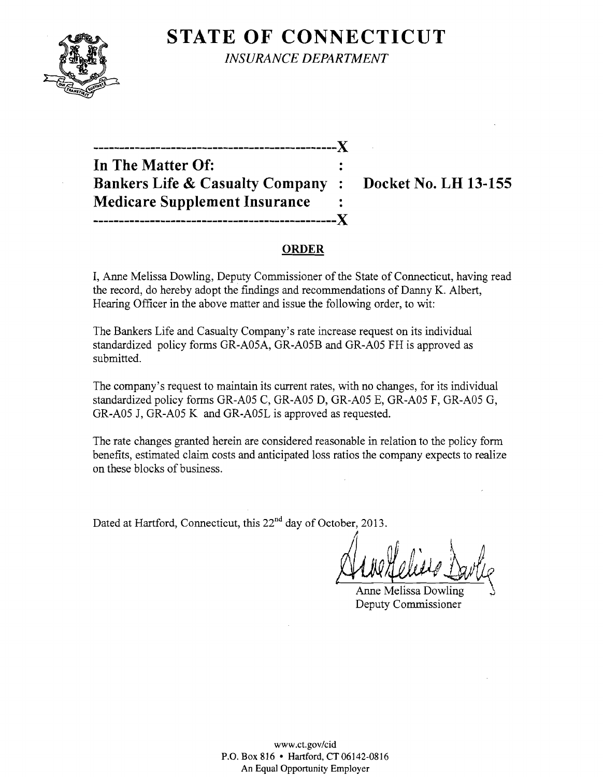

**STATE OF CONNECTICUT** *INSURANCE DEPARTMENT* 

**In The Matter Of: Bankers Life & Casualty Company: Docket No. LH 13-155 Medicare Supplement Insurance -----------------------------------------------)(** 

**-----------------------------------------------)(** 

#### **ORDER**

I, Anne Melissa Dowling, Deputy Commissioner of the State of Connecticut, having read the record, do hereby adopt the findings and recommendations of Danny K. Albert, Hearing Officer in the above matter and issue the following order, to wit:

The Bankers Life and Casualty Company's rate increase request on its individual standardized policy forms GR-A05A, GR-A05B and GR-A05 FH is approved as submitted.

The company's request to maintain its current rates, with no changes, for its individual standardized policy forms GR-A05 C, GR-A05 D, GR-A05 E, GR-A05 F, GR-A05 G, GR-A05 J, GR-A05 K and GR-A05L is approved as requested.

The rate changes granted herein are considered reasonable in relation to the policy form benefits, estimated claim costs and anticipated loss ratios the company expects to realize on these blocks of business.

Dated at Hartford, Connecticut, this 22<sup>nd</sup> day of October, 2013.

Anne Helies Davlie

Anne Melissa Dowling J Deputy Commissioner

www.ct.gov/cid P.O. Box 816 • Hartford, CT06142-0816 An Equal Opportunity Employer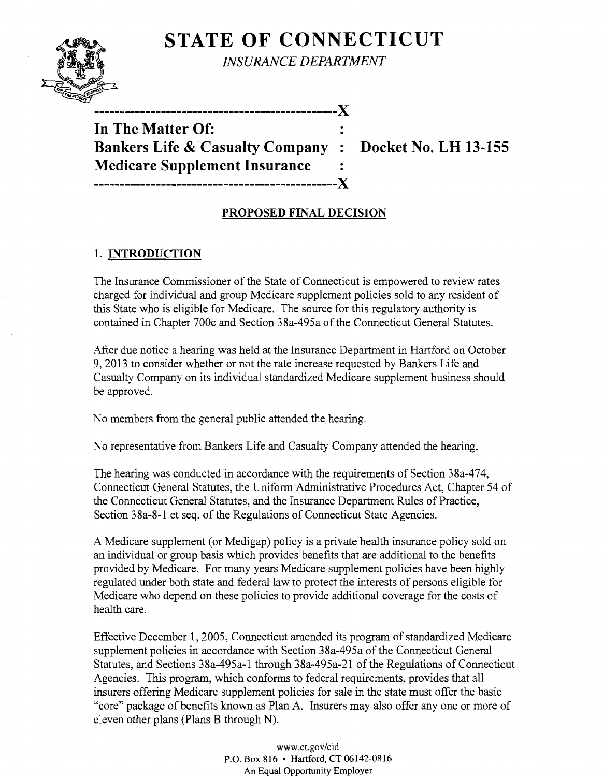# **STATE OF CONNECTICUT**



*INSURANCE DEPARTMENT* 

**In The Matter Of: Bankers Life** & Casualty **Company : Docket No. LH 13-155 Medicare Supplement Insurance -----------------------------------------------)(** 

**-----------------------------------------------)(** 

# **PROPOSED FINAL DECISION**

### 1. **INTRODUCTION**

The Insurance Commissioner of the State of Connecticut is empowered to review rates charged for individual and group Medicare supplement policies sold to any resident of this State who is eligible for Medicare. The source for this regulatory authority is contained in Chapter 700c and Section 38a-495a of the Connecticut General Statutes.

After due notice a hearing was held at the Insurance Department in Hartford on October 9,2013 to consider whether or not the rate increase requested by Bankers Life and Casualty Company on its individual standardized Medicare supplement business should be approved.

No members from the general public attended the hearing.

No representative from Bankers Life and Casualty Company attended the hearing.

The hearing was conducted in accordance with the requirements of Section 38a-474, Connecticut General Statutes, the Uniform Administrative Procedures Act, Chapter 54 of the Connecticut General Statutes, and the Insurance Department Rules of Practice, Section 38a-8-1 et seq. of the Regulations of Connecticut State Agencies.

A Medicare supplement (or Medigap) policy is a private health insurance policy sold on an individual or group basis which provides benefits that are additional to the benefits provided by Medicare. For many years Medicare supplement policies have been highly regulated under both state and federal law to protect the interests of persons eligible for Medicare who depend on these policies to provide additional coverage for the costs of health care.

Effective December 1,2005, Connecticut amended its program of standardized Medicare supplement policies in accordance with Section 38a-495a of the Connecticut General Statutes, and Sections 38a-495a-1 through 38a-495a-21 of the Regulations of Connecticut Agencies. This program, which conforms to federal requirements, provides that all insurers offering Medicare supplement policies for sale in the state must offer the basic "core" package of benefits known as Plan A. Insurers may also offer anyone or more of eleven other plans (Plans B through N).

> www.ct.gov/cid P.O. Box 816 • Hartford, CT 06142-0816 An Equal Opportunity Employer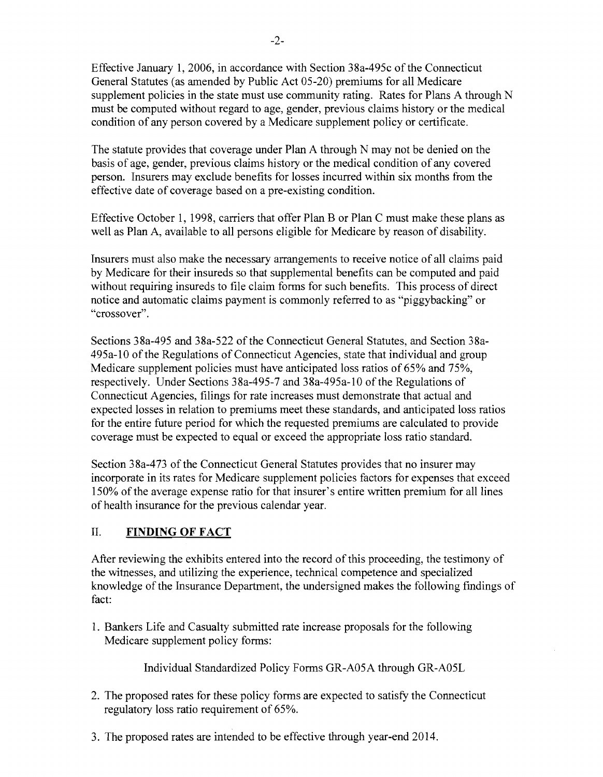Effective January 1,2006, in accordance with Section 38a-495c of the Connecticut General Statutes (as amended by Public Act 05-20) premiums for all Medicare supplement policies in the state must use community rating. Rates for Plans A through N must be computed without regard to age, gender, previous claims history or the medical condition of any person covered by a Medicare supplement policy or certificate.

The statute provides that coverage under Plan A through N may not be denied on the basis of age, gender, previous claims history or the medical condition of any covered person. Insurers may exclude benefits for losses incurred within six months from the effective date of coverage based on a pre-existing condition.

Effective October 1, 1998, carriers that offer Plan B or Plan C must make these plans as well as Plan A, available to all persons eligible for Medicare by reason of disability.

Insurers must also make the necessary arrangements to receive notice of all claims paid by Medicare for their insureds so that supplemental benefits can be computed and paid without requiring insureds to file claim forms for such benefits. This process of direct notice and automatic claims payment is commonly referred to as "piggybacking" or "crossover".

Sections 38a-495 and 38a-522 of the Connecticut General Statutes, and Section 38a-495a-l0 ofthe Regulations of Connecticut Agencies, state that individual and group Medicare supplement policies must have anticipated loss ratios of 65% and 75%, respectively. Under Sections 38a-495-7 and 38a-495a-10 of the Regulations of Connecticut Agencies, filings for rate increases must demonstrate that actual and expected losses in relation to premiums meet these standards, and anticipated loss ratios for the entire future period for which the requested premiums are calculated to provide coverage must be expected to equal or exceed the appropriate loss ratio standard.

Section 38a-473 of the Connecticut General Statutes provides that no insurer may incorporate in its rates for Medicare supplement policies factors for expenses that exceed 150% of the average expense ratio for that insurer's entire written premium for all lines of health insurance for the previous calendar year.

# II. **FINDING OF FACT**

After reviewing the exhibits entered into the record of this proceeding, the testimony of the witnesses, and utilizing the experience, technical competence and specialized knowledge of the Insurance Department, the undersigned makes the following findings of fact:

1. Bankers Life and Casualty submitted rate increase proposals for the following Medicare supplement policy forms:

Individual Standardized Policy Forms GR-A05A through GR-A05L

- 2. The proposed rates for these policy forms are expected to satisfy the Connecticut regulatory loss ratio requirement of 65%.
- 3. The proposed rates are intended to be effective through year-end 2014.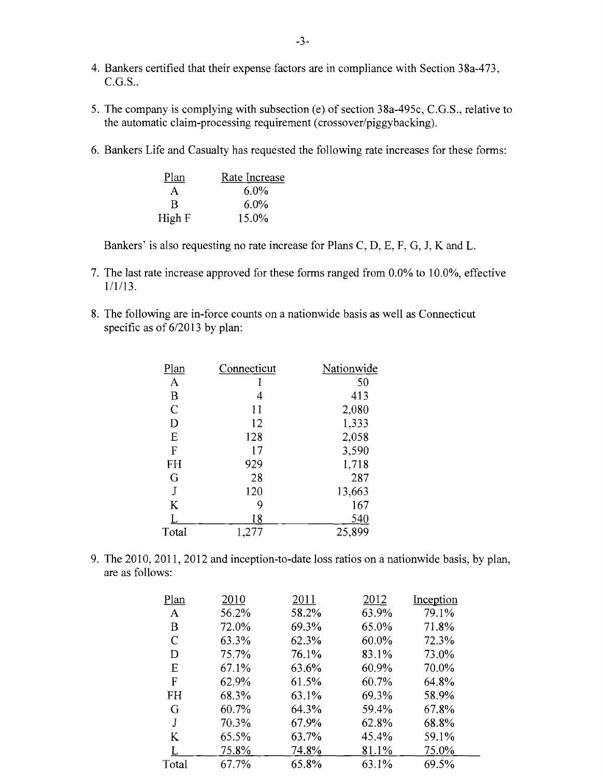- 4. Bankers certified that their expense factors are in compliance with Section 38a-473,  $C.G.S.$ .
- 5. The company is complying with subsection (e) of section 38a-495c, C.G.S., relative to the automatic claim-processing requirement (crossover/piggybacking).
- 6. Bankers Life and Casualty has requested the following rate increases for these forms:

| Plan   | Rate Increase |
|--------|---------------|
| A      | $6.0\%$       |
| R      | $6.0\%$       |
| High F | 15.0%         |

Bankers' is also requesting no rate increase for Plans C, D, E, F, G, J, K and L.

- 7. The last rate increase approved for these forms ranged from 0.0% to 10.0%, effective 1/1/13.
- 8. The following are in-force counts on a nationwide basis as well as Connecticut specific as of  $6/2013$  by plan:

| Plan           | Connecticut | Nationwide |
|----------------|-------------|------------|
| A              |             | 50         |
| B              | 4           | 413        |
| $\overline{C}$ | 11          | 2,080      |
| D              | 12          | 1,333      |
| E              | 128         | 2,058      |
| $\mathbf{F}$   | 17          | 3,590      |
| <b>FH</b>      | 929         | 1,718      |
| G              | 28          | 287        |
| J              | 120         | 13,663     |
| K              | 9           | 167        |
|                | 18          | 540        |
| Total          | 1,277       | 25,899     |
|                |             |            |

9. The 2010, 2011, 2012 and inception-to-date loss ratios on a nationwide basis, by plan, are as follows:

| Plan  | 2010  | 2011  | 2012  | Inception |
|-------|-------|-------|-------|-----------|
| A     | 56.2% | 58.2% | 63.9% | 79.1%     |
| B     | 72.0% | 69.3% | 65.0% | 71.8%     |
| C     | 63.3% | 62.3% | 60.0% | 72.3%     |
| D     | 75.7% | 76.1% | 83.1% | 73.0%     |
| E     | 67.1% | 63.6% | 60.9% | 70.0%     |
| F     | 62.9% | 61.5% | 60.7% | 64.8%     |
| FH    | 68.3% | 63.1% | 69.3% | 58.9%     |
| G     | 60.7% | 64.3% | 59.4% | 67.8%     |
| J     | 70.3% | 67.9% | 62.8% | 68.8%     |
| K     | 65.5% | 63.7% | 45.4% | 59.1%     |
|       | 75.8% | 74.8% | 81.1% | 75.0%     |
| Total | 67.7% | 65.8% | 63.1% | 69.5%     |